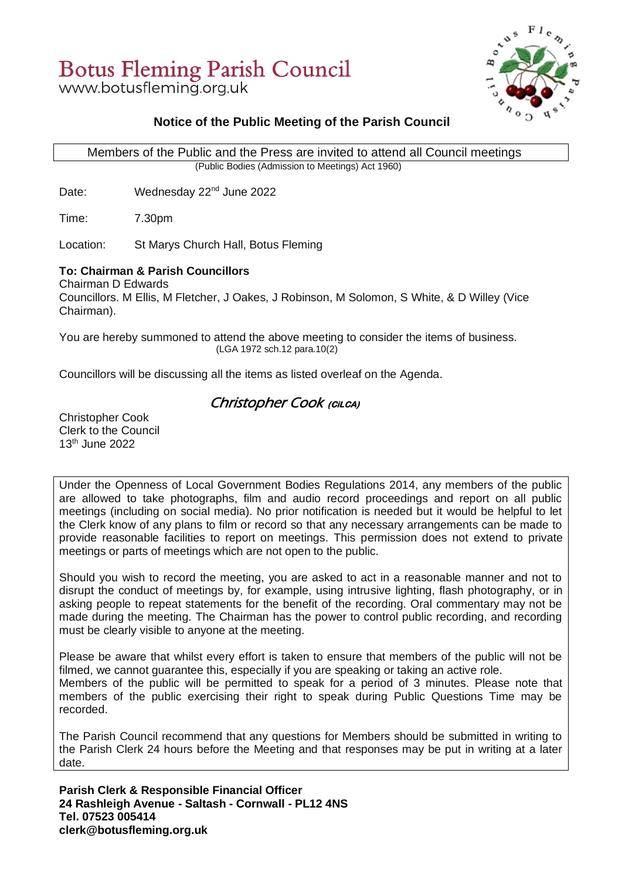# **Botus Fleming Parish Council**

www.botusfleming.org.uk



# **Notice of the Public Meeting of the Parish Council**

 Members of the Public and the Press are invited to attend all Council meetings (Public Bodies (Admission to Meetings) Act 1960)

Date: Wednesday 22<sup>nd</sup> June 2022

Time: 7.30pm

Location: St Marys Church Hall, Botus Fleming

# **To: Chairman & Parish Councillors**

Chairman D Edwards

Councillors. M Ellis, M Fletcher, J Oakes, J Robinson, M Solomon, S White, & D Willey (Vice Chairman).

You are hereby summoned to attend the above meeting to consider the items of business. (LGA 1972 sch.12 para.10(2)

Councillors will be discussing all the items as listed overleaf on the Agenda.

# **Christopher Cook** *(CILCA)*

Christopher Cook Clerk to the Council 13th June 2022

Under the Openness of Local Government Bodies Regulations 2014, any members of the public are allowed to take photographs, film and audio record proceedings and report on all public meetings (including on social media). No prior notification is needed but it would be helpful to let the Clerk know of any plans to film or record so that any necessary arrangements can be made to provide reasonable facilities to report on meetings. This permission does not extend to private meetings or parts of meetings which are not open to the public.

Should you wish to record the meeting, you are asked to act in a reasonable manner and not to disrupt the conduct of meetings by, for example, using intrusive lighting, flash photography, or in asking people to repeat statements for the benefit of the recording. Oral commentary may not be made during the meeting. The Chairman has the power to control public recording, and recording must be clearly visible to anyone at the meeting.

Please be aware that whilst every effort is taken to ensure that members of the public will not be filmed, we cannot guarantee this, especially if you are speaking or taking an active role.

Members of the public will be permitted to speak for a period of 3 minutes. Please note that members of the public exercising their right to speak during Public Questions Time may be recorded.

The Parish Council recommend that any questions for Members should be submitted in writing to the Parish Clerk 24 hours before the Meeting and that responses may be put in writing at a later date.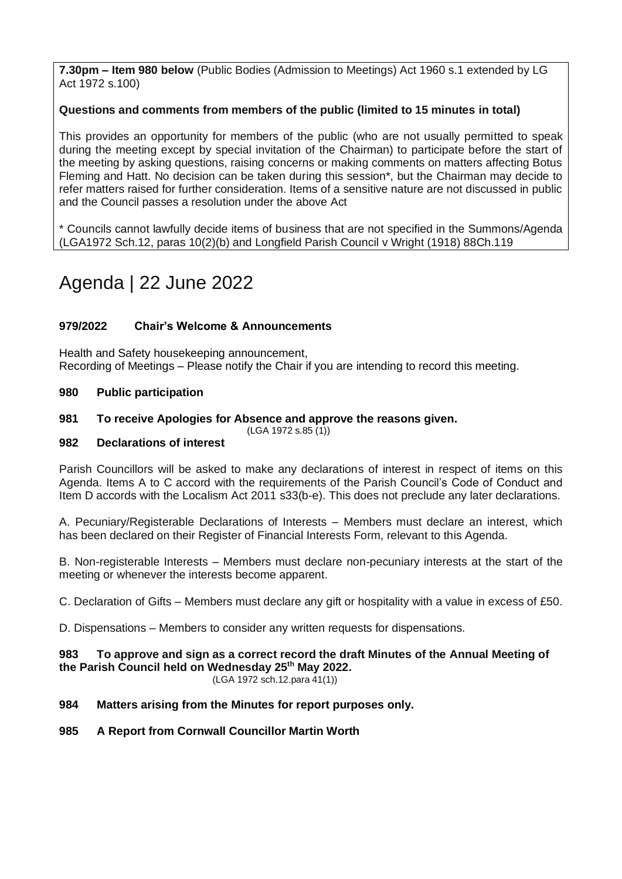**7.30pm – Item 980 below** (Public Bodies (Admission to Meetings) Act 1960 s.1 extended by LG Act 1972 s.100)

# **Questions and comments from members of the public (limited to 15 minutes in total)**

This provides an opportunity for members of the public (who are not usually permitted to speak during the meeting except by special invitation of the Chairman) to participate before the start of the meeting by asking questions, raising concerns or making comments on matters affecting Botus Fleming and Hatt. No decision can be taken during this session\*, but the Chairman may decide to refer matters raised for further consideration. Items of a sensitive nature are not discussed in public and the Council passes a resolution under the above Act

\* Councils cannot lawfully decide items of business that are not specified in the Summons/Agenda (LGA1972 Sch.12, paras 10(2)(b) and Longfield Parish Council v Wright (1918) 88Ch.119

# Agenda | 22 June 2022

# **979/2022 Chair's Welcome & Announcements**

Health and Safety housekeeping announcement, Recording of Meetings – Please notify the Chair if you are intending to record this meeting.

# **980 Public participation**

# **981 To receive Apologies for Absence and approve the reasons given.**

(LGA 1972 s.85 (1))

#### **982 Declarations of interest**

Parish Councillors will be asked to make any declarations of interest in respect of items on this Agenda. Items A to C accord with the requirements of the Parish Council's Code of Conduct and Item D accords with the Localism Act 2011 s33(b-e). This does not preclude any later declarations.

A. Pecuniary/Registerable Declarations of Interests – Members must declare an interest, which has been declared on their Register of Financial Interests Form, relevant to this Agenda.

B. Non-registerable Interests – Members must declare non-pecuniary interests at the start of the meeting or whenever the interests become apparent.

C. Declaration of Gifts – Members must declare any gift or hospitality with a value in excess of £50.

D. Dispensations – Members to consider any written requests for dispensations.

# **983 To approve and sign as a correct record the draft Minutes of the Annual Meeting of the Parish Council held on Wednesday 25 th May 2022.**

(LGA 1972 sch.12.para 41(1))

# **984 Matters arising from the Minutes for report purposes only.**

**985 A Report from Cornwall Councillor Martin Worth**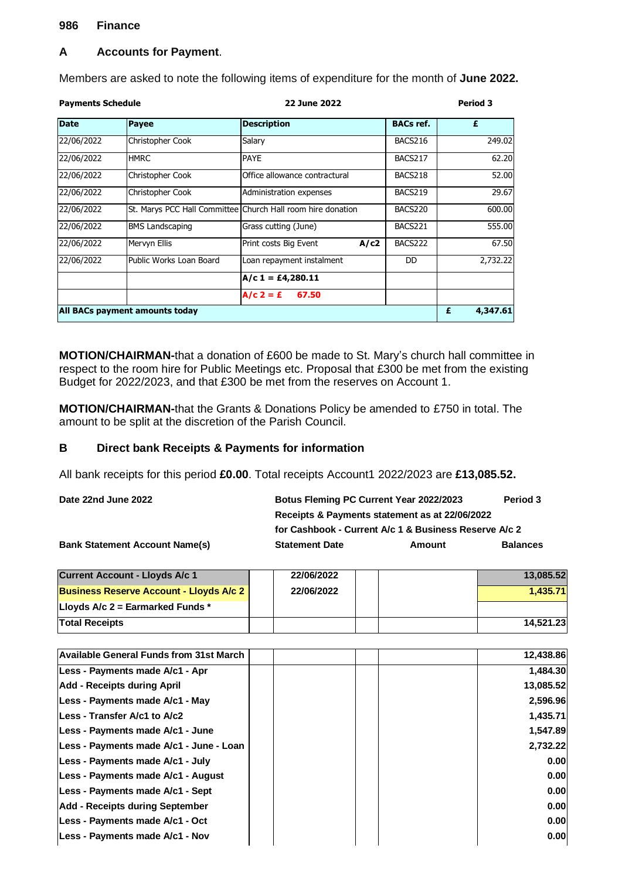#### **986 Finance**

# **A Accounts for Payment**.

Members are asked to note the following items of expenditure for the month of **June 2022.**

| <b>Payments Schedule</b>       |                         | 22 June 2022                                                | <b>Period 3</b>  |               |
|--------------------------------|-------------------------|-------------------------------------------------------------|------------------|---------------|
| <b>Date</b>                    | Payee                   | <b>Description</b>                                          | <b>BACs ref.</b> | £             |
| 22/06/2022                     | Christopher Cook        | Salary                                                      | BACS216          | 249.02        |
| 22/06/2022                     | <b>HMRC</b>             | <b>PAYE</b>                                                 | BACS217          | 62.20         |
| 22/06/2022                     | Christopher Cook        | Office allowance contractural                               | BACS218          | 52.00         |
| 22/06/2022                     | Christopher Cook        | Administration expenses                                     | BACS219          | 29.67         |
| 22/06/2022                     |                         | St. Marys PCC Hall Committee Church Hall room hire donation | BACS220          | 600.00        |
| 22/06/2022                     | <b>BMS Landscaping</b>  | Grass cutting (June)                                        | BACS221          | 555.00        |
| 22/06/2022                     | Mervyn Ellis            | A/c2<br>Print costs Big Event                               | BACS222          | 67.50         |
| 22/06/2022                     | Public Works Loan Board | Loan repayment instalment                                   | DD.              | 2,732.22      |
|                                |                         | $A/c 1 = £4,280.11$                                         |                  |               |
|                                |                         | $A/c2 = E$<br>67.50                                         |                  |               |
| All BACs payment amounts today |                         |                                                             |                  | 4,347.61<br>£ |

**MOTION/CHAIRMAN-**that a donation of £600 be made to St. Mary's church hall committee in respect to the room hire for Public Meetings etc. Proposal that £300 be met from the existing Budget for 2022/2023, and that £300 be met from the reserves on Account 1.

**MOTION/CHAIRMAN-**that the Grants & Donations Policy be amended to £750 in total. The amount to be split at the discretion of the Parish Council.

#### **B Direct bank Receipts & Payments for information**

All bank receipts for this period **£0.00**. Total receipts Account1 2022/2023 are **£13,085.52.**

| Date 22nd June 2022                   | <b>Botus Fleming PC Current Year 2022/2023</b>        |        | Period 3        |
|---------------------------------------|-------------------------------------------------------|--------|-----------------|
|                                       | Receipts & Payments statement as at 22/06/2022        |        |                 |
|                                       | for Cashbook - Current A/c 1 & Business Reserve A/c 2 |        |                 |
| <b>Bank Statement Account Name(s)</b> | <b>Statement Date</b>                                 | Amount | <b>Balances</b> |

| <b>Current Account - Lloyds A/c 1/</b>         | 22/06/2022 |  | 13.085.52 |
|------------------------------------------------|------------|--|-----------|
| <b>Business Reserve Account - Lloyds A/c 2</b> | 22/06/2022 |  | 1.435.71  |
| Lloyds A/c $2 =$ Earmarked Funds $*$           |            |  |           |
| <b>Total Receipts</b>                          |            |  | 14.521.23 |

| Available General Funds from 31st March | 12,438.86 |
|-----------------------------------------|-----------|
| Less - Payments made A/c1 - Apr         | 1,484.30  |
| Add - Receipts during April             | 13,085.52 |
| Less - Payments made A/c1 - May         | 2,596.96  |
| Less - Transfer A/c1 to A/c2            | 1,435.71  |
| Less - Payments made A/c1 - June        | 1,547.89  |
| Less - Payments made A/c1 - June - Loan | 2,732.22  |
| Less - Payments made A/c1 - July        | 0.00      |
| Less - Payments made A/c1 - August      | 0.00      |
| Less - Payments made A/c1 - Sept        | 0.00      |
| Add - Receipts during September         | 0.00      |
| Less - Payments made A/c1 - Oct         | 0.00      |
| Less - Payments made A/c1 - Nov         | 0.00      |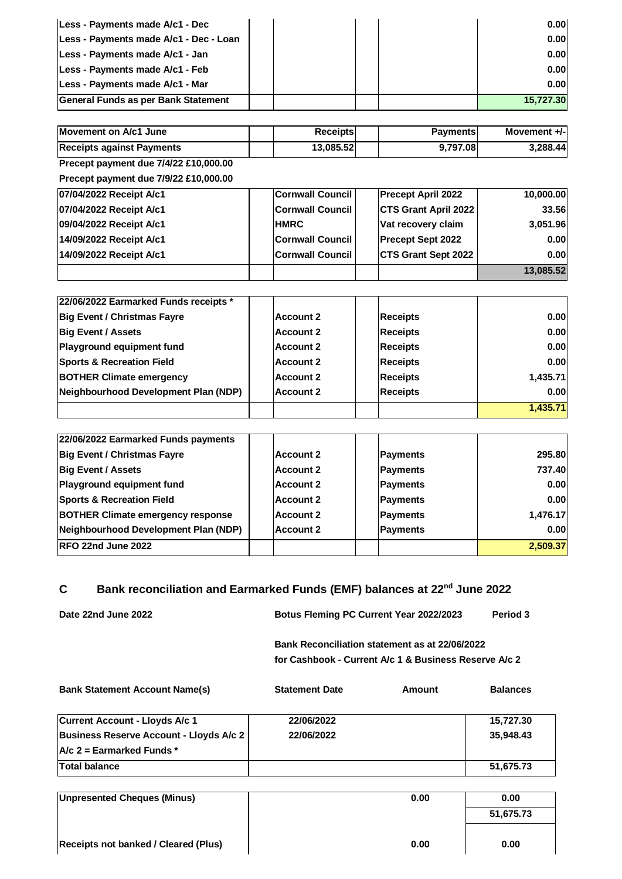| Less - Payments made A/c1 - Dec        |  | 0.00      |
|----------------------------------------|--|-----------|
| Less - Payments made A/c1 - Dec - Loan |  | 0.00      |
| Less - Payments made A/c1 - Jan        |  | 0.00      |
| Less - Payments made A/c1 - Feb        |  | 0.00      |
| Less - Payments made A/c1 - Mar        |  | 0.00      |
| General Funds as per Bank Statement    |  | 15,727.30 |

| Movement on A/c1 June                 | <b>Receipts</b>         | <b>Payments</b>             | Movement +/- |
|---------------------------------------|-------------------------|-----------------------------|--------------|
| <b>Receipts against Payments</b>      | 13,085.52               | 9,797.08                    | 3,288.44     |
| Precept payment due 7/4/22 £10,000.00 |                         |                             |              |
| Precept payment due 7/9/22 £10,000.00 |                         |                             |              |
| 07/04/2022 Receipt A/c1               | <b>Cornwall Council</b> | <b>Precept April 2022</b>   | 10,000.00    |
| 07/04/2022 Receipt A/c1               | <b>Cornwall Council</b> | <b>CTS Grant April 2022</b> | 33.56        |
| 09/04/2022 Receipt A/c1               | <b>HMRC</b>             | Vat recovery claim          | 3,051.96     |
| 14/09/2022 Receipt A/c1               | <b>Cornwall Council</b> | <b>Precept Sept 2022</b>    | 0.00         |
| 14/09/2022 Receipt A/c1               | <b>Cornwall Council</b> | <b>CTS Grant Sept 2022</b>  | 0.00         |
|                                       |                         |                             | 13,085.52    |

| 22/06/2022 Earmarked Funds receipts * |                  |                 |          |
|---------------------------------------|------------------|-----------------|----------|
| <b>Big Event / Christmas Fayre</b>    | Account 2        | <b>Receipts</b> | 0.00     |
| <b>Big Event / Assets</b>             | <b>Account 2</b> | <b>Receipts</b> | 0.00     |
| Playground equipment fund             | Account 2        | <b>Receipts</b> | 0.00     |
| <b>Sports &amp; Recreation Field</b>  | Account 2        | <b>Receipts</b> | 0.00     |
| <b>BOTHER Climate emergency</b>       | Account 2        | <b>Receipts</b> | 1,435.71 |
| Neighbourhood Development Plan (NDP)  | Account 2        | <b>Receipts</b> | 0.00     |
|                                       |                  |                 | 1,435.71 |

| 22/06/2022 Earmarked Funds payments      |                  |                 |          |
|------------------------------------------|------------------|-----------------|----------|
| <b>Big Event / Christmas Fayre</b>       | Account 2        | Payments        | 295.80   |
| <b>Big Event / Assets</b>                | Account 2        | <b>Payments</b> | 737.40   |
| Playground equipment fund                | Account 2        | Payments        | 0.00     |
| <b>Sports &amp; Recreation Field</b>     | <b>Account 2</b> | <b>Payments</b> | 0.00     |
| <b>BOTHER Climate emergency response</b> | <b>Account 2</b> | Payments        | 1,476.17 |
| Neighbourhood Development Plan (NDP)     | Account 2        | Payments        | 0.00     |
| RFO 22nd June 2022                       |                  |                 | 2,509.37 |

#### **C Bank reconciliation and Earmarked Funds (EMF) balances at 22 nd June 2022**

| Date 22nd June 2022                            | <b>Botus Fleming PC Current Year 2022/2023</b> |                                                       | Period 3        |  |  |
|------------------------------------------------|------------------------------------------------|-------------------------------------------------------|-----------------|--|--|
|                                                | Bank Reconciliation statement as at 22/06/2022 |                                                       |                 |  |  |
|                                                |                                                | for Cashbook - Current A/c 1 & Business Reserve A/c 2 |                 |  |  |
| <b>Bank Statement Account Name(s)</b>          | <b>Statement Date</b>                          | Amount                                                | <b>Balances</b> |  |  |
| <b>Current Account - Lloyds A/c 1</b>          | 22/06/2022                                     |                                                       | 15,727.30       |  |  |
| <b>Business Reserve Account - Lloyds A/c 2</b> | 22/06/2022                                     |                                                       | 35,948.43       |  |  |
| $A/c$ 2 = Earmarked Funds *                    |                                                |                                                       |                 |  |  |
| <b>Total balance</b>                           |                                                |                                                       | 51,675.73       |  |  |

| Unpresented Cheques (Minus)                 | 0.00 | 0.00      |
|---------------------------------------------|------|-----------|
|                                             |      | 51,675.73 |
|                                             |      |           |
| <b>Receipts not banked / Cleared (Plus)</b> | 0.00 | 0.00      |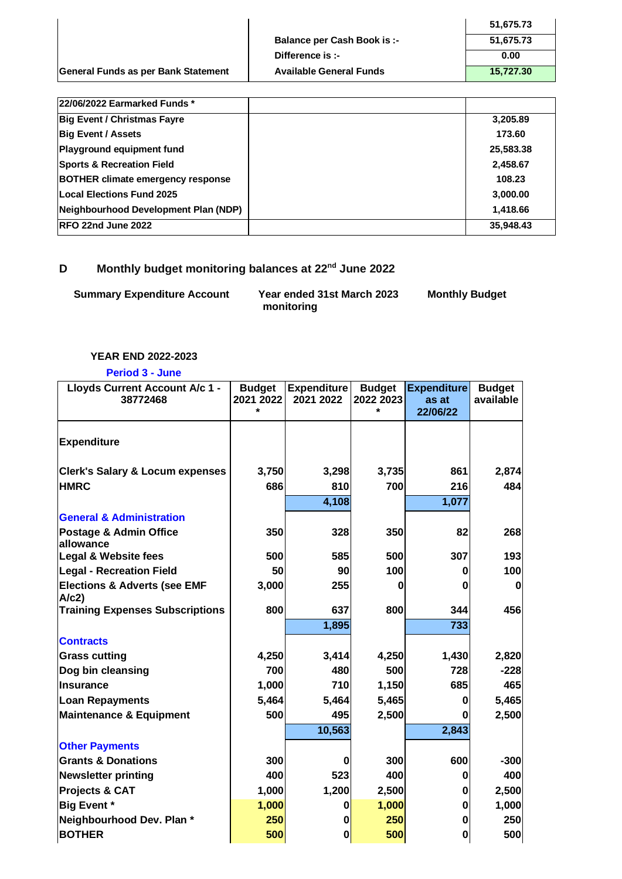|                                | 51,675.73 |
|--------------------------------|-----------|
| Balance per Cash Book is :-    | 51,675.73 |
| Difference is :-               | 0.00      |
| <b>Available General Funds</b> | 15.727.30 |
|                                |           |

| 22/06/2022 Earmarked Funds *             |           |
|------------------------------------------|-----------|
| <b>Big Event / Christmas Fayre</b>       | 3,205.89  |
| <b>Big Event / Assets</b>                | 173.60    |
| Playground equipment fund                | 25,583.38 |
| <b>Sports &amp; Recreation Field</b>     | 2,458.67  |
| <b>BOTHER climate emergency response</b> | 108.23    |
| Local Elections Fund 2025                | 3,000.00  |
| Neighbourhood Development Plan (NDP)     | 1,418.66  |
| <b>RFO 22nd June 2022</b>                | 35,948.43 |

# **D** Monthly budget monitoring balances at 22<sup>nd</sup> June 2022

| <b>Summary Expenditure Account</b> | Year ended 31st March 2023 | <b>Monthly Budget</b> |
|------------------------------------|----------------------------|-----------------------|
|                                    | monitoring                 |                       |

# **YEAR END 2022-2023**

#### **Period 3 - June**

| Lloyds Current Account A/c 1 -<br>38772468      | <b>Budget</b><br>2021 2022<br>$\star$ | <b>Expenditure</b><br>2021 2022 | <b>Budget</b><br>2022 2023<br>$\star$ | <b>Expenditure</b><br>as at<br>22/06/22 | <b>Budget</b><br>available |
|-------------------------------------------------|---------------------------------------|---------------------------------|---------------------------------------|-----------------------------------------|----------------------------|
| <b>Expenditure</b>                              |                                       |                                 |                                       |                                         |                            |
| <b>Clerk's Salary &amp; Locum expenses</b>      | 3,750                                 | 3,298                           | 3,735                                 | 861                                     | 2,874                      |
| <b>HMRC</b>                                     | 686                                   | 810                             | 700                                   | 216                                     | 484                        |
|                                                 |                                       | 4,108                           |                                       | 1,077                                   |                            |
| <b>General &amp; Administration</b>             |                                       |                                 |                                       |                                         |                            |
| Postage & Admin Office<br>allowance             | 350                                   | 328                             | 350                                   | 82                                      | 268                        |
| <b>Legal &amp; Website fees</b>                 | 500                                   | 585                             | 500                                   | 307                                     | 193                        |
| <b>Legal - Recreation Field</b>                 | 50                                    | 90                              | 100                                   | 0                                       | 100                        |
| <b>Elections &amp; Adverts (see EMF</b><br>A/c2 | 3,000                                 | 255                             | Λ                                     | O                                       | 0                          |
| <b>Training Expenses Subscriptions</b>          | 800                                   | 637                             | 800                                   | 344                                     | 456                        |
|                                                 |                                       | 1,895                           |                                       | 733                                     |                            |
| <b>Contracts</b>                                |                                       |                                 |                                       |                                         |                            |
| <b>Grass cutting</b>                            | 4,250                                 | 3,414                           | 4,250                                 | 1,430                                   | 2,820                      |
| Dog bin cleansing                               | 700                                   | 480                             | 500                                   | 728                                     | $-228$                     |
| <b>Insurance</b>                                | 1,000                                 | 710                             | 1,150                                 | 685                                     | 465                        |
| <b>Loan Repayments</b>                          | 5,464                                 | 5,464                           | 5,465                                 | 0                                       | 5,465                      |
| <b>Maintenance &amp; Equipment</b>              | 500                                   | 495                             | 2,500                                 | 0                                       | 2,500                      |
|                                                 |                                       | 10,563                          |                                       | 2,843                                   |                            |
| <b>Other Payments</b>                           |                                       |                                 |                                       |                                         |                            |
| <b>Grants &amp; Donations</b>                   | 300                                   | 0                               | 300                                   | 600                                     | $-300$                     |
| <b>Newsletter printing</b>                      | 400                                   | 523                             | 400                                   | 0                                       | 400                        |
| Projects & CAT                                  | 1,000                                 | 1,200                           | 2,500                                 | 0                                       | 2,500                      |
| <b>Big Event *</b>                              | 1,000                                 | 0                               | 1,000                                 | 0                                       | 1,000                      |
| Neighbourhood Dev. Plan *                       | 250                                   | 0                               | 250                                   | $\bf{0}$                                | 250                        |
| <b>BOTHER</b>                                   | 500                                   | $\bf{0}$                        | 500                                   | $\bf{0}$                                | 500                        |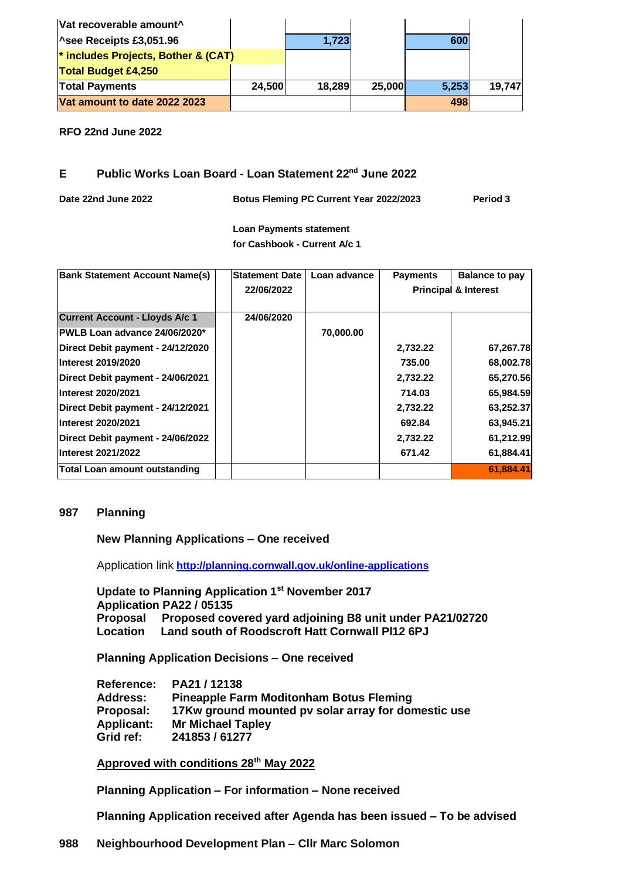| Vat recoverable amount <sup>^</sup> |        |        |        |       |        |
|-------------------------------------|--------|--------|--------|-------|--------|
| $\sim$ see Receipts £3,051.96       |        | 1,723  |        | 600   |        |
| * includes Projects, Bother & (CAT) |        |        |        |       |        |
| <b>Total Budget £4,250</b>          |        |        |        |       |        |
| <b>Total Payments</b>               | 24,500 | 18,289 | 25,000 | 5,253 | 19,747 |
| Vat amount to date 2022 2023        |        |        |        | 498   |        |

#### **RFO 22nd June 2022**

# **E Public Works Loan Board - Loan Statement 22 nd June 2022**

**Date 22nd June 2022 Botus Fleming PC Current Year 2022/2023 Period 3**

**Loan Payments statement for Cashbook - Current A/c 1** 

| <b>Bank Statement Account Name(s)</b> | <b>Statement Date</b> | Loan advance | <b>Payments</b> | <b>Balance to pay</b>           |
|---------------------------------------|-----------------------|--------------|-----------------|---------------------------------|
|                                       | 22/06/2022            |              |                 | <b>Principal &amp; Interest</b> |
|                                       |                       |              |                 |                                 |
| <b>Current Account - Lloyds A/c 1</b> | 24/06/2020            |              |                 |                                 |
| PWLB Loan advance 24/06/2020*         |                       | 70,000.00    |                 |                                 |
| Direct Debit payment - 24/12/2020     |                       |              | 2,732.22        | 67,267.78                       |
| Interest 2019/2020                    |                       |              | 735.00          | 68,002.78                       |
| Direct Debit payment - 24/06/2021     |                       |              | 2,732.22        | 65,270.56                       |
| Interest 2020/2021                    |                       |              | 714.03          | 65,984.59                       |
| Direct Debit payment - 24/12/2021     |                       |              | 2,732.22        | 63,252.37                       |
| Interest 2020/2021                    |                       |              | 692.84          | 63,945.21                       |
| Direct Debit payment - 24/06/2022     |                       |              | 2,732.22        | 61,212.99                       |
| Interest 2021/2022                    |                       |              | 671.42          | 61,884.41                       |
| Total Loan amount outstanding         |                       |              |                 | 61,884.41                       |

# **987 Planning**

#### **New Planning Applications – One received**

Application link **<http://planning.cornwall.gov.uk/online-applications>**

**Update to Planning Application 1st November 2017 Application PA22 / 05135 Proposal Proposed covered yard adjoining B8 unit under PA21/02720 Location Land south of Roodscroft Hatt Cornwall Pl12 6PJ**

**Planning Application Decisions – One received**

| <b>Reference:</b> | PA21/12138                                          |
|-------------------|-----------------------------------------------------|
| <b>Address:</b>   | <b>Pineapple Farm Moditonham Botus Fleming</b>      |
| Proposal:         | 17Kw ground mounted pv solar array for domestic use |
| <b>Applicant:</b> | <b>Mr Michael Tapley</b>                            |
| Grid ref:         | 241853 / 61277                                      |

**Approved with conditions 28th May 2022**

**Planning Application – For information – None received**

**Planning Application received after Agenda has been issued – To be advised**